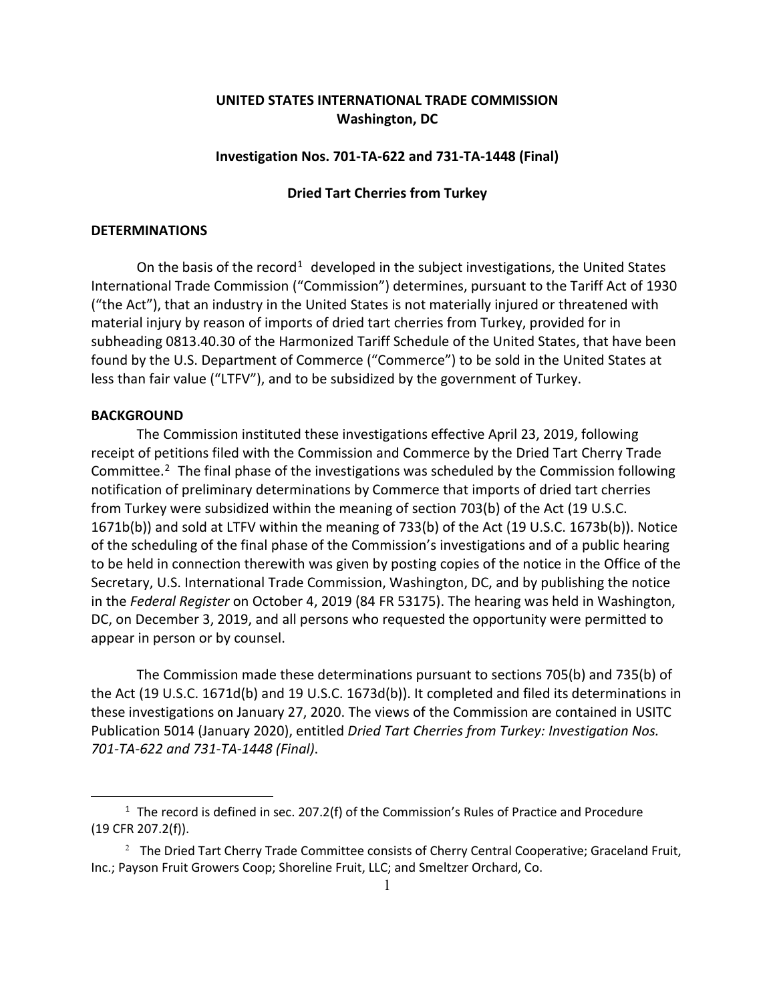# **UNITED STATES INTERNATIONAL TRADE COMMISSION Washington, DC**

## **Investigation Nos. 701-TA-622 and 731-TA-1448 (Final)**

## **Dried Tart Cherries from Turkey**

#### **DETERMINATIONS**

On the basis of the record<sup>[1](#page-0-0)</sup> developed in the subject investigations, the United States International Trade Commission ("Commission") determines, pursuant to the Tariff Act of 1930 ("the Act"), that an industry in the United States is not materially injured or threatened with material injury by reason of imports of dried tart cherries from Turkey, provided for in subheading 0813.40.30 of the Harmonized Tariff Schedule of the United States, that have been found by the U.S. Department of Commerce ("Commerce") to be sold in the United States at less than fair value ("LTFV"), and to be subsidized by the government of Turkey.

#### **BACKGROUND**

The Commission instituted these investigations effective April 23, 2019, following receipt of petitions filed with the Commission and Commerce by the Dried Tart Cherry Trade Committee. $2$  The final phase of the investigations was scheduled by the Commission following notification of preliminary determinations by Commerce that imports of dried tart cherries from Turkey were subsidized within the meaning of section 703(b) of the Act (19 U.S.C. 1671b(b)) and sold at LTFV within the meaning of 733(b) of the Act (19 U.S.C. 1673b(b)). Notice of the scheduling of the final phase of the Commission's investigations and of a public hearing to be held in connection therewith was given by posting copies of the notice in the Office of the Secretary, U.S. International Trade Commission, Washington, DC, and by publishing the notice in the *Federal Register* on October 4, 2019 (84 FR 53175). The hearing was held in Washington, DC, on December 3, 2019, and all persons who requested the opportunity were permitted to appear in person or by counsel.

The Commission made these determinations pursuant to sections 705(b) and 735(b) of the Act (19 U.S.C. 1671d(b) and 19 U.S.C. 1673d(b)). It completed and filed its determinations in these investigations on January 27, 2020. The views of the Commission are contained in USITC Publication 5014 (January 2020), entitled *Dried Tart Cherries from Turkey: Investigation Nos. 701-TA-622 and 731-TA-1448 (Final)*.

<span id="page-0-0"></span> $1$  The record is defined in sec. 207.2(f) of the Commission's Rules of Practice and Procedure (19 CFR 207.2(f)).

<span id="page-0-1"></span> $2<sup>2</sup>$  The Dried Tart Cherry Trade Committee consists of Cherry Central Cooperative; Graceland Fruit, Inc.; Payson Fruit Growers Coop; Shoreline Fruit, LLC; and Smeltzer Orchard, Co.